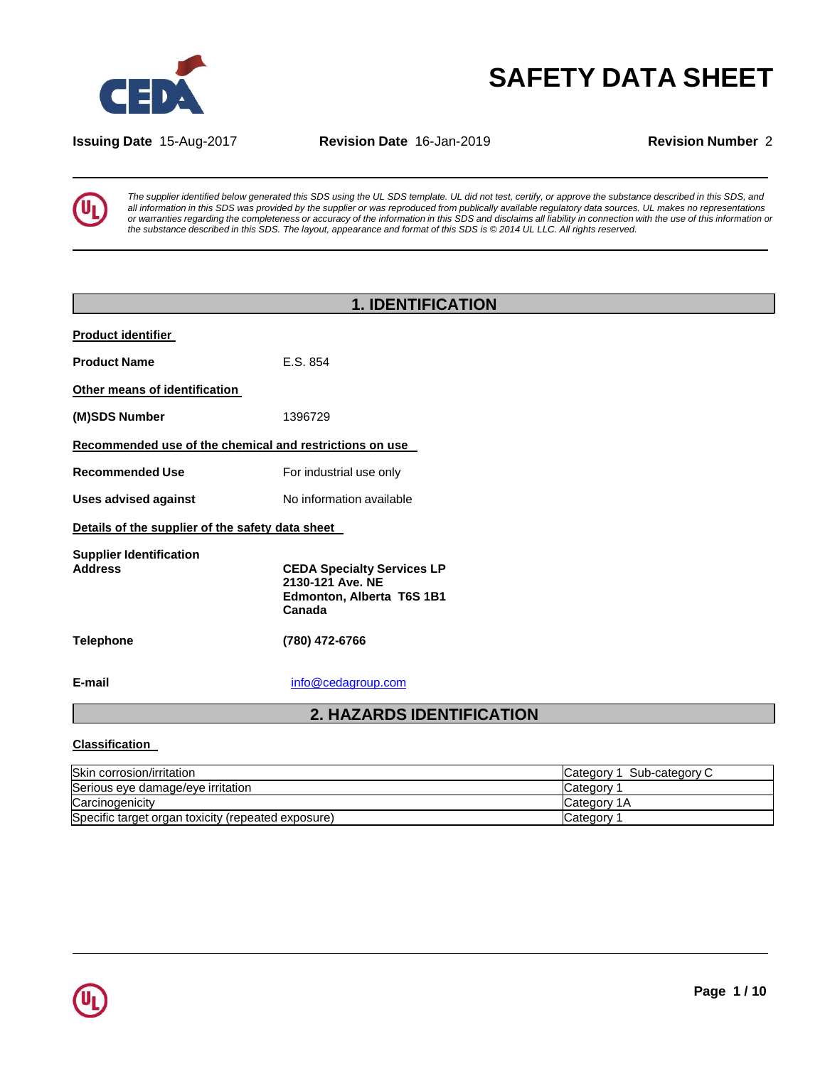

# **SAFETY DATA SHEET**

**Issuing Date** 15-Aug-2017 **Revision Date** 16-Jan-2019 **Revision Number** 2



The supplier identified below generated this SDS using the UL SDS template. UL did not test, certify, or approve the substance described in this SDS, and all information in this SDS was provided by the supplier or was reproduced from publically available regulatory data sources. UL makes no representations or warranties regarding the completeness or accuracy of the information in this SDS and disclaims all liability in connection with the use of this information or the substance described in this SDS. The layout, appearance and format of this SDS is @ 2014 UL LLC. All rights reserved.

| <b>1. IDENTIFICATION</b>                                                                     |  |  |  |
|----------------------------------------------------------------------------------------------|--|--|--|
|                                                                                              |  |  |  |
| E.S. 854                                                                                     |  |  |  |
|                                                                                              |  |  |  |
| 1396729                                                                                      |  |  |  |
| Recommended use of the chemical and restrictions on use                                      |  |  |  |
| For industrial use only                                                                      |  |  |  |
| No information available                                                                     |  |  |  |
| Details of the supplier of the safety data sheet                                             |  |  |  |
| <b>CEDA Specialty Services LP</b><br>2130-121 Ave. NE<br>Edmonton, Alberta T6S 1B1<br>Canada |  |  |  |
| (780) 472-6766                                                                               |  |  |  |
| info@cedagroup.com                                                                           |  |  |  |
| <b>2. HAZARDS IDENTIFICATION</b>                                                             |  |  |  |
|                                                                                              |  |  |  |

#### **Classification**

| Skin corrosion/irritation                          | Sub-category C<br>ICategory 1 |
|----------------------------------------------------|-------------------------------|
| Serious eye damage/eye irritation                  | Category                      |
| Carcinogenicity                                    | Category 1A                   |
| Specific target organ toxicity (repeated exposure) | <b>Category</b>               |

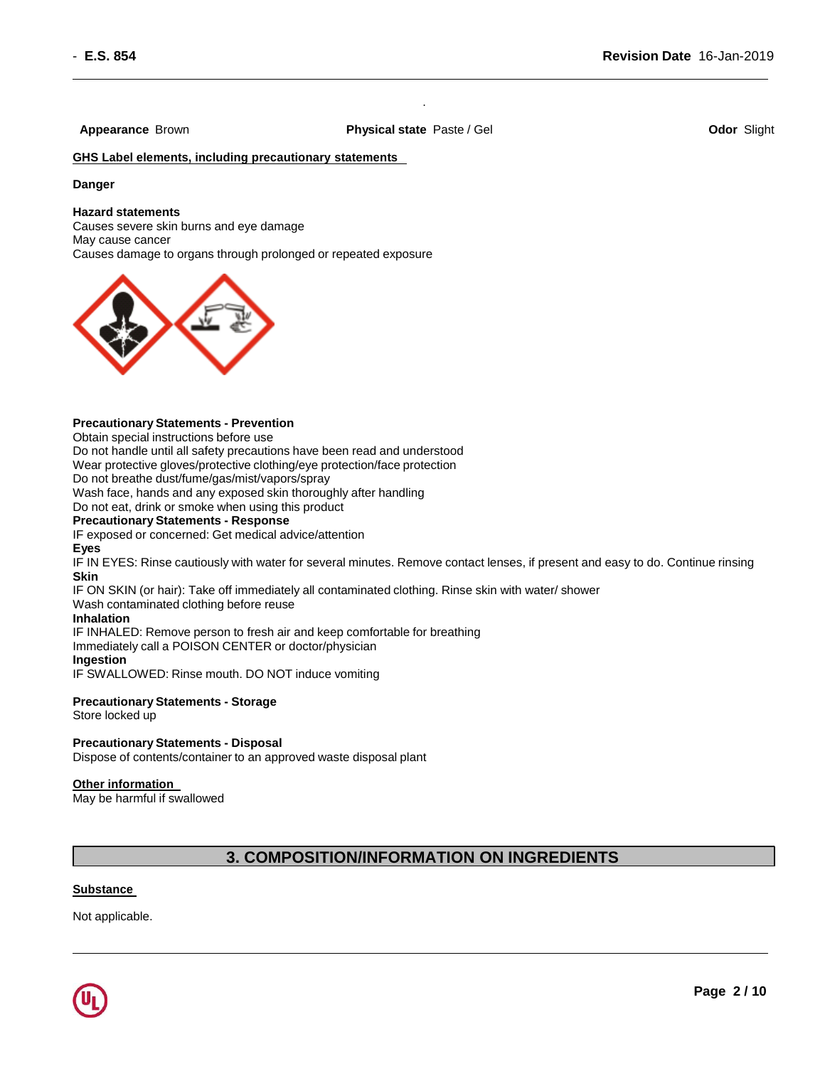**Appearance** Brown **Physical state** Paste / Gel **Odor** Slight

.

#### **GHS Label elements, including precautionary statements**

#### **Danger**

#### **Hazard statements**

Causes severe skin burns and eye damage May cause cancer Causes damage to organs through prolonged or repeated exposure



#### **Precautionary Statements - Prevention**

Obtain special instructions before use

Do not handle until all safety precautions have been read and understood Wear protective gloves/protective clothing/eye protection/face protection

Do not breathe dust/fume/gas/mist/vapors/spray

Wash face, hands and any exposed skin thoroughly after handling

Do not eat, drink or smoke when using this product

#### **Precautionary Statements - Response**

IF exposed or concerned: Get medical advice/attention

#### **Eyes**

IF IN EYES: Rinse cautiously with water for several minutes. Remove contact lenses, if present and easy to do. Continue rinsing **Skin**

IF ON SKIN (or hair): Take off immediately all contaminated clothing. Rinse skin with water/ shower

Wash contaminated clothing before reuse

#### **Inhalation**

IF INHALED: Remove person to fresh air and keep comfortable for breathing

Immediately call a POISON CENTER or doctor/physician

#### **Ingestion**

IF SWALLOWED: Rinse mouth. DO NOT induce vomiting

#### **Precautionary Statements - Storage**

Store locked up

#### **Precautionary Statements - Disposal**

Dispose of contents/container to an approved waste disposal plant

#### **Other information**

May be harmful if swallowed

#### **3. COMPOSITION/INFORMATION ON INGREDIENTS**

#### **Substance**

Not applicable.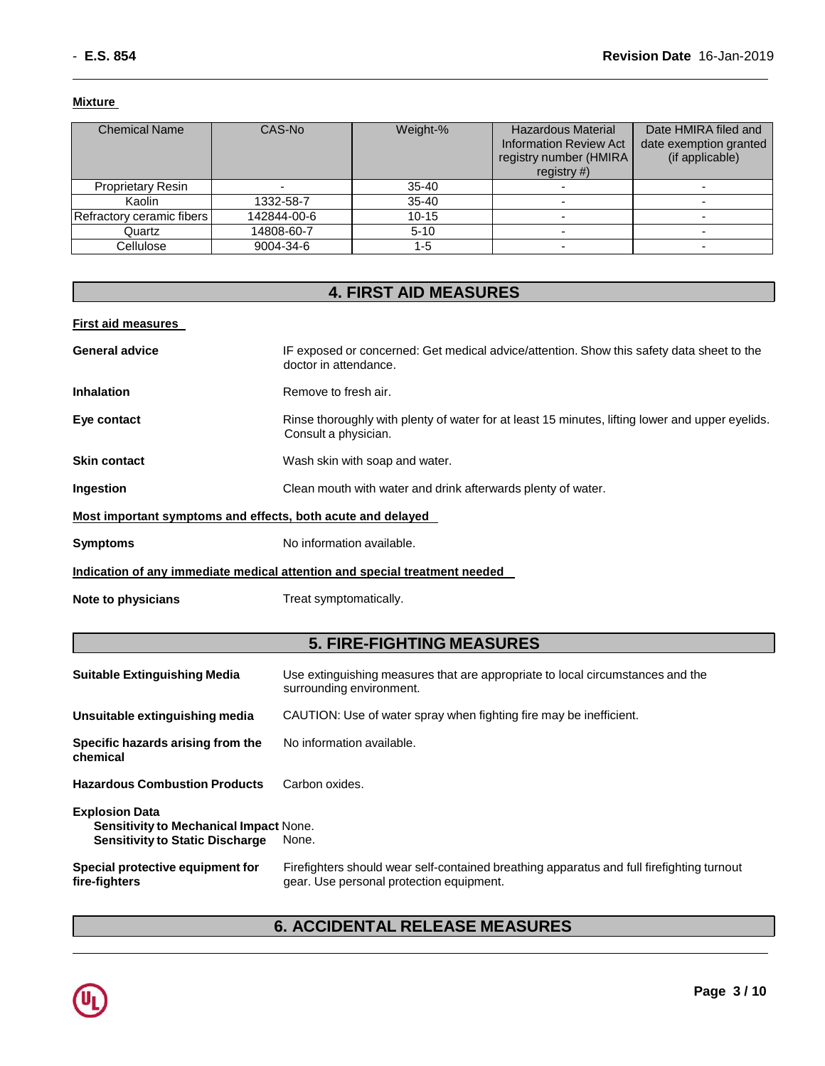#### **Mixture**

| <b>Chemical Name</b>      | CAS-No      | Weight-%  | <b>Hazardous Material</b><br><b>Information Review Act</b><br>registry number (HMIRA<br>registry $#$ ) | Date HMIRA filed and<br>date exemption granted<br>(if applicable) |
|---------------------------|-------------|-----------|--------------------------------------------------------------------------------------------------------|-------------------------------------------------------------------|
| <b>Proprietary Resin</b>  |             | 35-40     |                                                                                                        |                                                                   |
| Kaolin                    | 1332-58-7   | $35 - 40$ |                                                                                                        |                                                                   |
| Refractory ceramic fibers | 142844-00-6 | $10 - 15$ |                                                                                                        |                                                                   |
| Quartz                    | 14808-60-7  | $5 - 10$  |                                                                                                        |                                                                   |
| Cellulose                 | 9004-34-6   | 1-5       |                                                                                                        |                                                                   |

## **4. FIRST AID MEASURES**

#### **First aid measures**

| <b>General advice</b>                                       | IF exposed or concerned: Get medical advice/attention. Show this safety data sheet to the<br>doctor in attendance.      |
|-------------------------------------------------------------|-------------------------------------------------------------------------------------------------------------------------|
| <b>Inhalation</b>                                           | Remove to fresh air.                                                                                                    |
| Eye contact                                                 | Rinse thoroughly with plenty of water for at least 15 minutes, lifting lower and upper eyelids.<br>Consult a physician. |
| <b>Skin contact</b>                                         | Wash skin with soap and water.                                                                                          |
| Ingestion                                                   | Clean mouth with water and drink afterwards plenty of water.                                                            |
| Most important symptoms and effects, both acute and delayed |                                                                                                                         |
| <b>Symptoms</b>                                             | No information available.                                                                                               |
|                                                             | Indication of any immediate medical attention and special treatment needed                                              |
| Note to physicians                                          | Treat symptomatically.                                                                                                  |

#### **5. FIRE-FIGHTING MEASURES**

| <b>Suitable Extinguishing Media</b>                                                                              | Use extinguishing measures that are appropriate to local circumstances and the<br>surrounding environment.                            |
|------------------------------------------------------------------------------------------------------------------|---------------------------------------------------------------------------------------------------------------------------------------|
| Unsuitable extinguishing media                                                                                   | CAUTION: Use of water spray when fighting fire may be inefficient.                                                                    |
| Specific hazards arising from the<br>chemical                                                                    | No information available.                                                                                                             |
| <b>Hazardous Combustion Products</b>                                                                             | Carbon oxides.                                                                                                                        |
| <b>Explosion Data</b><br><b>Sensitivity to Mechanical Impact None.</b><br><b>Sensitivity to Static Discharge</b> | None.                                                                                                                                 |
| Special protective equipment for<br>fire-fighters                                                                | Firefighters should wear self-contained breathing apparatus and full firefighting turnout<br>gear. Use personal protection equipment. |

### **6. ACCIDENTAL RELEASE MEASURES**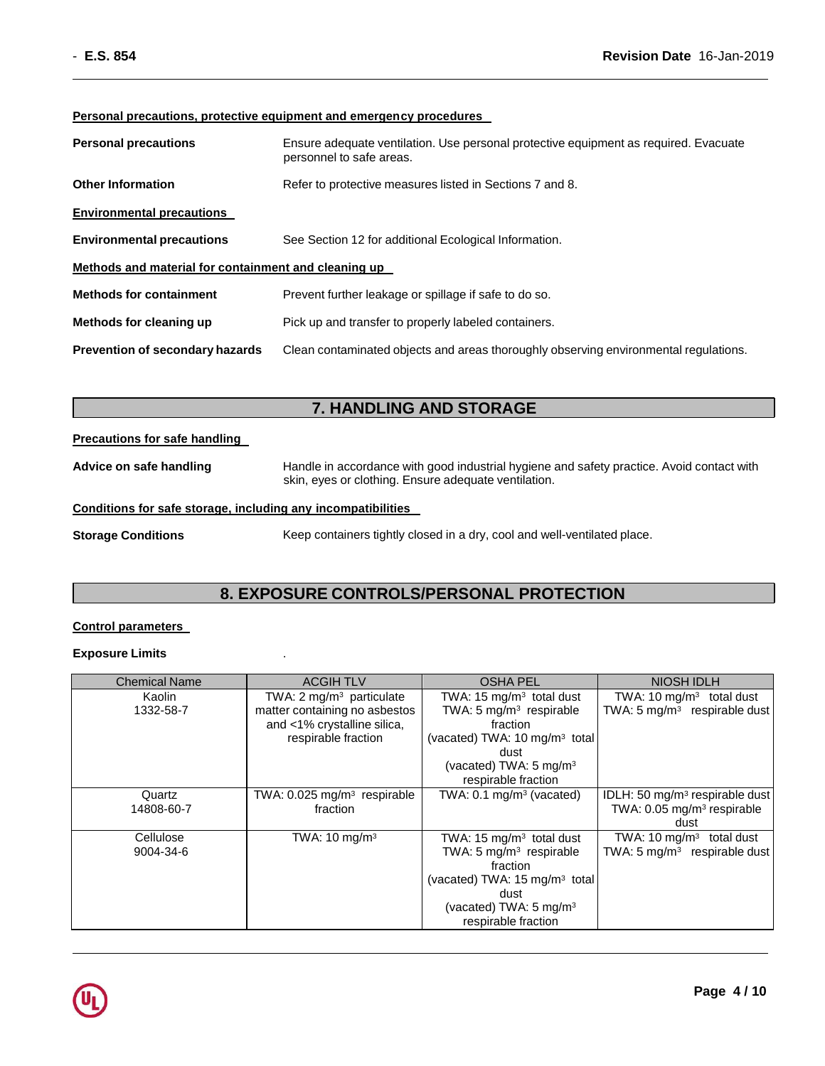#### **Personal precautions, protective equipment and emergency procedures**

| <b>Personal precautions</b>                          | Ensure adequate ventilation. Use personal protective equipment as required. Evacuate<br>personnel to safe areas. |  |
|------------------------------------------------------|------------------------------------------------------------------------------------------------------------------|--|
| <b>Other Information</b>                             | Refer to protective measures listed in Sections 7 and 8.                                                         |  |
| <b>Environmental precautions</b>                     |                                                                                                                  |  |
| <b>Environmental precautions</b>                     | See Section 12 for additional Ecological Information.                                                            |  |
| Methods and material for containment and cleaning up |                                                                                                                  |  |
| <b>Methods for containment</b>                       | Prevent further leakage or spillage if safe to do so.                                                            |  |
| Methods for cleaning up                              | Pick up and transfer to properly labeled containers.                                                             |  |
| <b>Prevention of secondary hazards</b>               | Clean contaminated objects and areas thoroughly observing environmental regulations.                             |  |

#### **7. HANDLING AND STORAGE**

#### **Precautions for safe handling**

**Advice on safe handling** Handle in accordance with good industrial hygiene and safety practice. Avoid contact with skin, eyes or clothing. Ensure adequate ventilation.

#### **Conditions for safe storage, including any incompatibilities**

**Storage Conditions** Keep containers tightly closed in a dry, cool and well-ventilated place.

#### **8. EXPOSURE CONTROLS/PERSONAL PROTECTION**

#### **Control parameters**

#### **Exposure Limits** .

| <b>Chemical Name</b> | <b>ACGIHTLV</b>                         | <b>OSHA PEL</b>                           | <b>NIOSH IDLH</b>                          |
|----------------------|-----------------------------------------|-------------------------------------------|--------------------------------------------|
| Kaolin               | TWA: $2 \text{ mg/m}^3$ particulate     | TWA: 15 $mg/m3$ total dust                | TWA: $10 \text{ mg/m}^3$ total dust        |
| 1332-58-7            | matter containing no asbestos           | TWA: $5 \text{ mg/m}^3$ respirable        | TWA: 5 mg/m <sup>3</sup> respirable dust   |
|                      | and <1% crystalline silica,             | fraction                                  |                                            |
|                      | respirable fraction                     | (vacated) TWA: 10 mg/m <sup>3</sup> total |                                            |
|                      |                                         | dust                                      |                                            |
|                      |                                         | (vacated) TWA: $5 \text{ mg/m}^3$         |                                            |
|                      |                                         | respirable fraction                       |                                            |
| Quartz               | TWA: 0.025 mg/m <sup>3</sup> respirable | TWA: $0.1 \text{ mg/m}^3$ (vacated)       | IDLH: 50 mg/m <sup>3</sup> respirable dust |
| 14808-60-7           | fraction                                |                                           | TWA: 0.05 mg/m <sup>3</sup> respirable     |
|                      |                                         |                                           | dust                                       |
| Cellulose            | TWA: $10 \text{ mg/m}^3$                | TWA: 15 mg/m <sup>3</sup> total dust      | TWA: $10 \text{ mg/m}^3$<br>total dust     |
| 9004-34-6            |                                         | TWA: $5 \text{ mg/m}^3$ respirable        | TWA: 5 mg/m <sup>3</sup> respirable dust   |
|                      |                                         | fraction                                  |                                            |
|                      |                                         | (vacated) TWA: 15 mg/m <sup>3</sup> total |                                            |
|                      |                                         | dust                                      |                                            |
|                      |                                         | (vacated) TWA: $5 \text{ mg/m}^3$         |                                            |
|                      |                                         | respirable fraction                       |                                            |

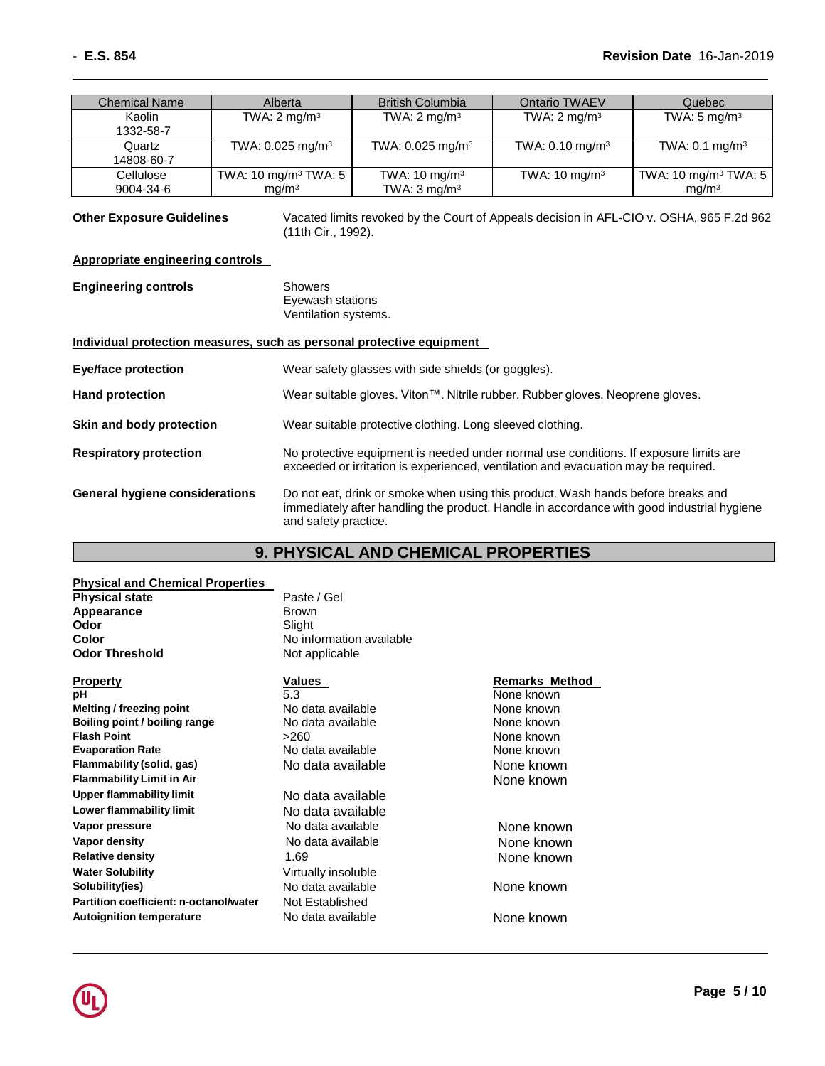| <b>Chemical Name</b> | Alberta                          | <b>British Columbia</b>        | Ontario TWAEV              | Quebec                           |
|----------------------|----------------------------------|--------------------------------|----------------------------|----------------------------------|
| Kaolin               | TWA: $2 \text{ mg/m}^3$          | TWA: $2 \text{ mg/m}^3$        | TWA: $2 \text{ mg/m}^3$    | TWA: $5 \text{ mg/m}^3$          |
| 1332-58-7            |                                  |                                |                            |                                  |
| Quartz               | TWA: $0.025$ mg/m <sup>3</sup>   | TWA: $0.025$ mg/m <sup>3</sup> | TWA: $0.10 \text{ mg/m}^3$ | TWA: $0.1 \text{ mg/m}^3$        |
| 14808-60-7           |                                  |                                |                            |                                  |
| Cellulose            | TWA: 10 mg/m <sup>3</sup> TWA: 5 | TWA: $10 \text{ mg/m}^3$       | TWA: $10 \text{ mg/m}^3$   | TWA: 10 mg/m <sup>3</sup> TWA: 5 |
| 9004-34-6            | mg/m <sup>3</sup>                | TWA: $3 \text{ mg/m}^3$        |                            | mg/m <sup>3</sup>                |

**Other Exposure Guidelines** Vacated limits revoked by the Court of Appeals decision in AFL-CIO v. OSHA, 965 F.2d 962 (11th Cir., 1992).

#### **Appropriate engineering controls**

## **Engineering controls** Showers

Eyewash stations Ventilation systems.

#### **Individual protection measures, such as personal protective equipment**

| <b>Eye/face protection</b>            | Wear safety glasses with side shields (or goggles).                                                                                                                           |
|---------------------------------------|-------------------------------------------------------------------------------------------------------------------------------------------------------------------------------|
| <b>Hand protection</b>                | Wear suitable gloves. Viton™. Nitrile rubber. Rubber gloves. Neoprene gloves.                                                                                                 |
| Skin and body protection              | Wear suitable protective clothing. Long sleeved clothing.                                                                                                                     |
| <b>Respiratory protection</b>         | No protective equipment is needed under normal use conditions. If exposure limits are<br>exceeded or irritation is experienced, ventilation and evacuation may be required.   |
| <b>General hygiene considerations</b> | Do not eat, drink or smoke when using this product. Wash hands before breaks and<br>immediately after handling the product. Handle in accordance with good industrial hygiene |

#### **9. PHYSICAL AND CHEMICAL PROPERTIES**

#### **Physical and Chemical Properties Physical state** Paste / Gel **Appearance** Brown **Odor** Slight **Color** No information available

#### **Odor Threshold** Not applicable **Property Values Remarks Method pH** 5.3 None known **Melting / freezing point** No data available None Known **Boiling point / boiling range** No data available **None known**<br> **Flash Point** None known<br>  $>260$ **Evaporation Rate Notata available Notata available None known Flammability (solid, gas)** No data available None known **Flammability Limit in Air** None known **Upper flammability limit** No data available **Lower flammability limit** No data available **Vapor pressure 12 COVER 10 COVER 10 None 20 Aport Pressure 10 Aport Pressure 10 Aport Pressure 10 Aport Pressure 10 Aport Pressure 10 Aport Pressure 10 Aport Pressure 10 Aport Pressure 10 Aport Pressure 10 Aport Pressure Vapor density No. 2018 None known None known None known Relative density**<br> **Water Solubility**<br> **Water Solubility**<br> **Water Solubility Solubility(ies)** No data available **None known Partition coefficient: n-octanol/water** Not Established

and safety practice.

# **Flash Point 260 None known Virtually insoluble Autoignition temperature No data available None known**

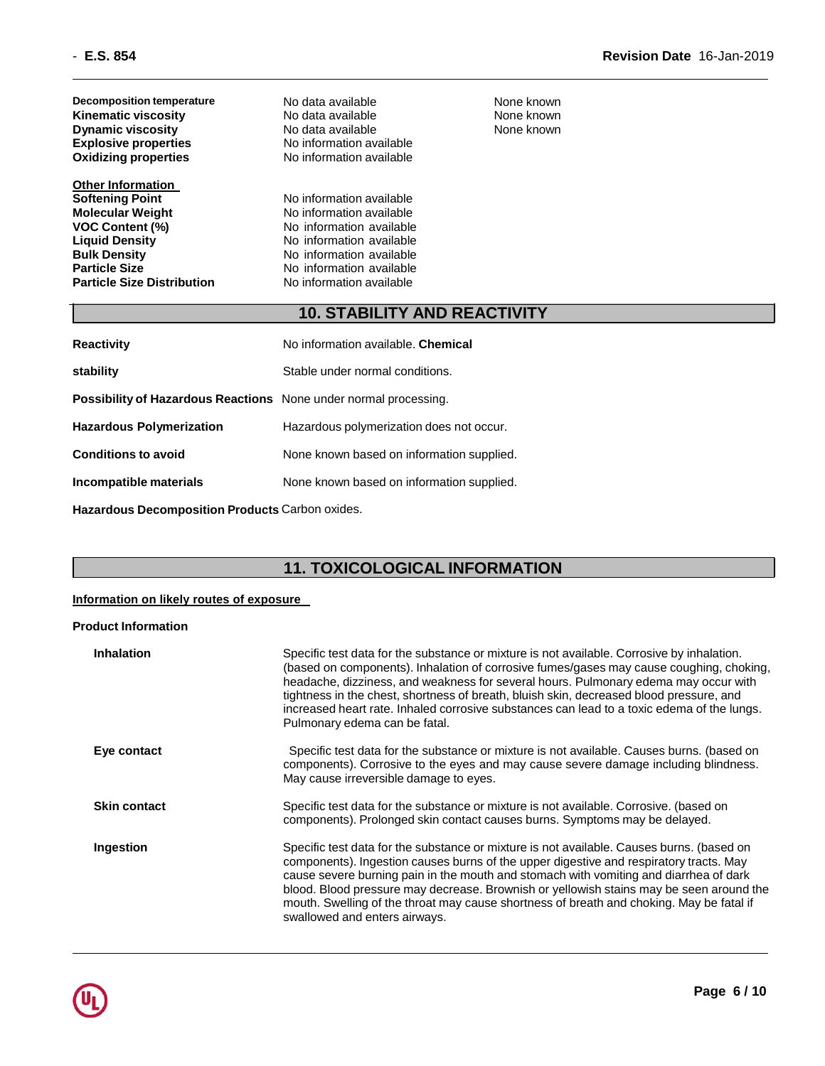| <b>Decomposition temperature</b><br><b>Kinematic viscosity</b><br><b>Dynamic viscosity</b><br><b>Explosive properties</b><br><b>Oxidizing properties</b>                                                             | No data available<br>No data available<br>No data available<br>No information available<br>No information available                                                                              | None known<br>None known<br>None known |
|----------------------------------------------------------------------------------------------------------------------------------------------------------------------------------------------------------------------|--------------------------------------------------------------------------------------------------------------------------------------------------------------------------------------------------|----------------------------------------|
| <b>Other Information</b><br><b>Softening Point</b><br><b>Molecular Weight</b><br><b>VOC Content (%)</b><br><b>Liquid Density</b><br><b>Bulk Density</b><br><b>Particle Size</b><br><b>Particle Size Distribution</b> | No information available<br>No information available<br>No information available<br>No information available<br>No information available<br>No information available<br>No information available |                                        |
|                                                                                                                                                                                                                      | <b>10. STABILITY AND REACTIVITY</b>                                                                                                                                                              |                                        |
| <b>Reactivity</b>                                                                                                                                                                                                    | No information available. Chemical                                                                                                                                                               |                                        |
| stability                                                                                                                                                                                                            | Stable under normal conditions.                                                                                                                                                                  |                                        |
| Possibility of Hazardous Reactions None under normal processing.                                                                                                                                                     |                                                                                                                                                                                                  |                                        |
| <b>Hazardous Polymerization</b>                                                                                                                                                                                      | Hazardous polymerization does not occur.                                                                                                                                                         |                                        |
| <b>Conditions to avoid</b>                                                                                                                                                                                           | None known based on information supplied.                                                                                                                                                        |                                        |

**Incompatible materials** None known based on information supplied.

**Hazardous Decomposition Products** Carbon oxides.

#### **11. TOXICOLOGICAL INFORMATION**

#### **Information on likely routes of exposure**

#### **Product Information**

| <b>Inhalation</b>   | Specific test data for the substance or mixture is not available. Corrosive by inhalation.<br>(based on components). Inhalation of corrosive fumes/gases may cause coughing, choking,<br>headache, dizziness, and weakness for several hours. Pulmonary edema may occur with<br>tightness in the chest, shortness of breath, bluish skin, decreased blood pressure, and<br>increased heart rate. Inhaled corrosive substances can lead to a toxic edema of the lungs.<br>Pulmonary edema can be fatal. |
|---------------------|--------------------------------------------------------------------------------------------------------------------------------------------------------------------------------------------------------------------------------------------------------------------------------------------------------------------------------------------------------------------------------------------------------------------------------------------------------------------------------------------------------|
| Eye contact         | Specific test data for the substance or mixture is not available. Causes burns. (based on<br>components). Corrosive to the eyes and may cause severe damage including blindness.<br>May cause irreversible damage to eyes.                                                                                                                                                                                                                                                                             |
| <b>Skin contact</b> | Specific test data for the substance or mixture is not available. Corrosive. (based on<br>components). Prolonged skin contact causes burns. Symptoms may be delayed.                                                                                                                                                                                                                                                                                                                                   |
| Ingestion           | Specific test data for the substance or mixture is not available. Causes burns. (based on<br>components). Ingestion causes burns of the upper digestive and respiratory tracts. May<br>cause severe burning pain in the mouth and stomach with vomiting and diarrhea of dark<br>blood. Blood pressure may decrease. Brownish or yellowish stains may be seen around the<br>mouth. Swelling of the throat may cause shortness of breath and choking. May be fatal if<br>swallowed and enters airways.   |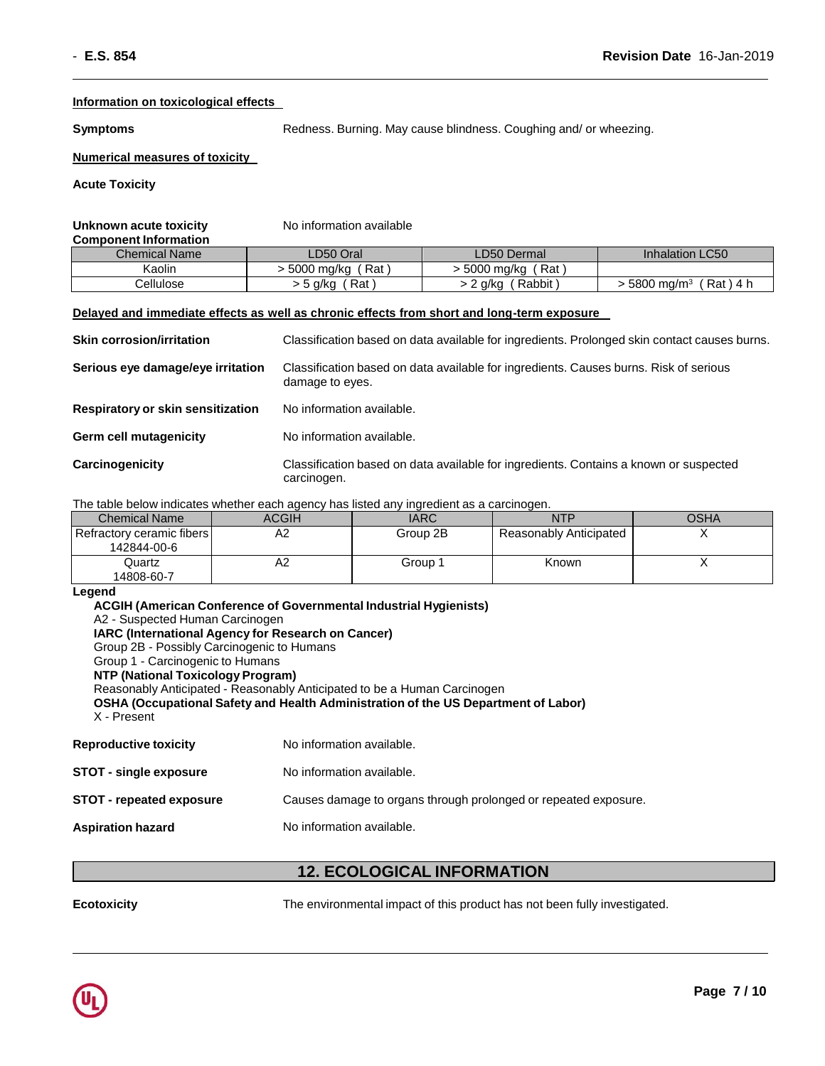#### **Information on toxicological effects**

**Symptoms** Redness. Burning. May cause blindness. Coughing and/ or wheezing.

#### **Numerical measures of toxicity**

**Acute Toxicity**

#### **Unknown acute toxicity** No information available **Component Information**

| <u>,,,,,,,,,,,,,,,,,,,,,,,,,,,,,,,,,</u> |                   |                       |                                         |
|------------------------------------------|-------------------|-----------------------|-----------------------------------------|
| <b>Chemical Name</b>                     | LD50 Oral         | LD50 Dermal           | <b>Inhalation LC50</b>                  |
| Kaolin                                   | 5000 ma/ka<br>Rat | ، Rat '<br>5000 ma/ka |                                         |
| ∠ellulose                                | Rat<br>> 5 a/ka   | Rabbit<br>a/ka        | Rat )<br>5800 mg/m <sup>3</sup><br>-4 h |

#### **Delayed and immediate effects as well as chronic effects from short and long-term exposure**

| <b>Skin corrosion/irritation</b>         | Classification based on data available for ingredients. Prolonged skin contact causes burns.             |
|------------------------------------------|----------------------------------------------------------------------------------------------------------|
| Serious eye damage/eye irritation        | Classification based on data available for ingredients. Causes burns. Risk of serious<br>damage to eyes. |
| <b>Respiratory or skin sensitization</b> | No information available.                                                                                |
| <b>Germ cell mutagenicity</b>            | No information available.                                                                                |
| Carcinogenicity                          | Classification based on data available for ingredients. Contains a known or suspected<br>carcinogen.     |

The table below indicates whether each agency has listed any ingredient as a carcinogen.

| <b>Chemical Name</b>      | ACGIH | <b>IARC</b> | NTP                    | OSHA |
|---------------------------|-------|-------------|------------------------|------|
| Refractory ceramic fibers | A2    | Group 2B    | Reasonably Anticipated |      |
| 142844-00-6               |       |             |                        |      |
| Quartz                    | A2    | Group 1     | Known                  |      |
| 14808-60-7                |       |             |                        |      |

#### **Legend**

**ACGIH (American Conference of Governmental Industrial Hygienists)** A2 - Suspected Human Carcinogen **IARC (International Agency for Research on Cancer)** Group 2B - Possibly Carcinogenic to Humans Group 1 - Carcinogenic to Humans **NTP (National Toxicology Program)** Reasonably Anticipated - Reasonably Anticipated to be a Human Carcinogen **OSHA (Occupational Safety and Health Administration of the US Department of Labor)** X - Present **Reproductive toxicity** No information available. **STOT** - single exposure No information available. **STOT - repeated exposure** Causes damage to organs through prolonged or repeated exposure.

**Aspiration hazard** No information available.

#### **12. ECOLOGICAL INFORMATION**

**Ecotoxicity** The environmental impact of this product has not been fully investigated.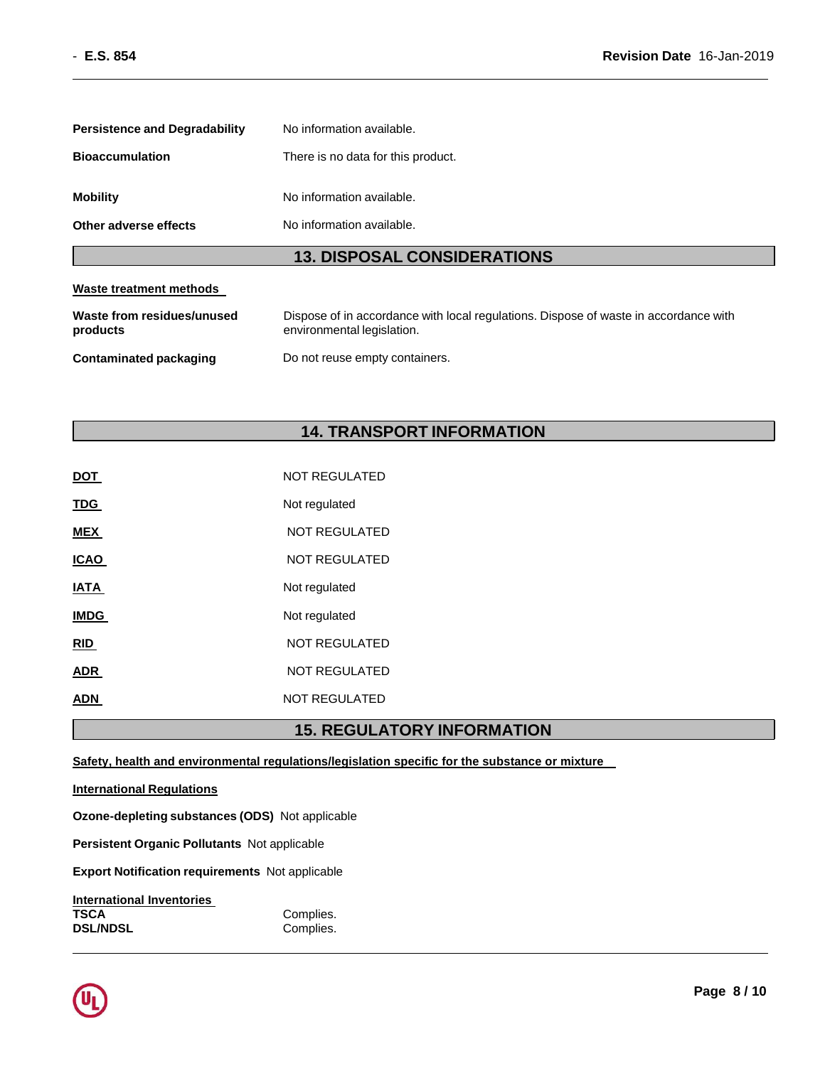| <b>13. DISPOSAL CONSIDERATIONS</b>   |                                    |  |  |
|--------------------------------------|------------------------------------|--|--|
| Other adverse effects                | No information available.          |  |  |
| <b>Mobility</b>                      | No information available.          |  |  |
| <b>Bioaccumulation</b>               | There is no data for this product. |  |  |
| <b>Persistence and Degradability</b> | No information available.          |  |  |

# **Waste treatment methods**

| Waste from residues/unused | Dispose of in accordance with local regulations. Dispose of waste in accordance with |
|----------------------------|--------------------------------------------------------------------------------------|
| products                   | environmental legislation.                                                           |
| Contaminated packaging     | Do not reuse empty containers.                                                       |

#### **14. TRANSPORT INFORMATION**

|             | <b>15. REGULAT</b>   |
|-------------|----------------------|
| ADN         | NOT REGULATED        |
| ADR         | <b>NOT REGULATED</b> |
| <u>RID</u>  | <b>NOT REGULATED</b> |
| <b>IMDG</b> | Not regulated        |
| IATA        | Not regulated        |
| <b>ICAO</b> | <b>NOT REGULATED</b> |
| MEX         | <b>NOT REGULATED</b> |
| <u>TDG</u>  | Not regulated        |
| DOT         | NOT REGULATED        |

#### **15. REGULATORY INFORMATION**

**Safety, health and environmental regulations/legislation specific for the substance or mixture** 

**International Regulations**

**Ozone-depleting substances (ODS)** Not applicable

**Persistent Organic Pollutants** Not applicable

**Export Notification requirements** Not applicable

| <b>International Inventories</b> |           |
|----------------------------------|-----------|
| TSCA                             | Complies. |
| <b>DSL/NDSL</b>                  | Complies. |

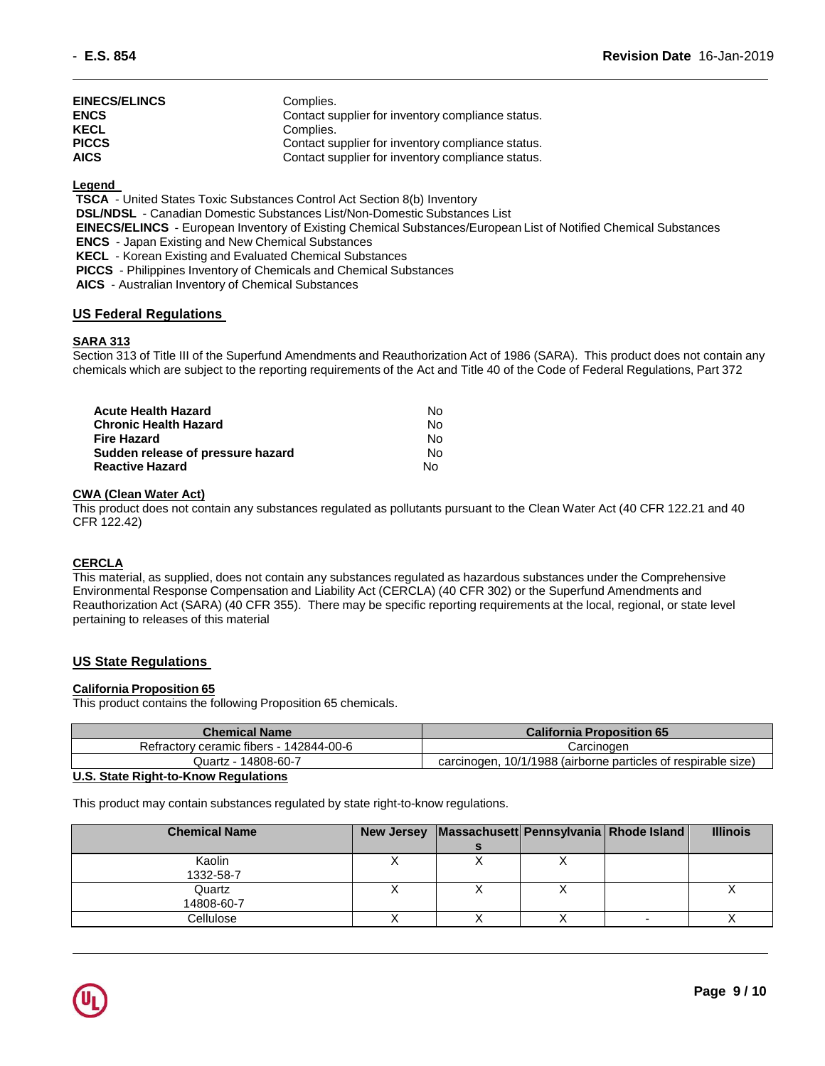| EINECS/ELINCS | Complies.                                         |
|---------------|---------------------------------------------------|
| <b>ENCS</b>   | Contact supplier for inventory compliance status. |
| <b>KECL</b>   | Complies.                                         |
| <b>PICCS</b>  | Contact supplier for inventory compliance status. |
| <b>AICS</b>   | Contact supplier for inventory compliance status. |

#### **Legend**

**TSCA** - United States Toxic Substances Control Act Section 8(b) Inventory

**DSL/NDSL** - Canadian Domestic Substances List/Non-Domestic Substances List

**EINECS/ELINCS** - European Inventory of Existing Chemical Substances/European List of Notified Chemical Substances

**ENCS** - Japan Existing and New Chemical Substances

**KECL** - Korean Existing and Evaluated Chemical Substances

**PICCS** - Philippines Inventory of Chemicals and Chemical Substances

**AICS** - Australian Inventory of Chemical Substances

#### **US Federal Regulations**

#### **SARA 313**

Section 313 of Title III of the Superfund Amendments and Reauthorization Act of 1986 (SARA). This product does not contain any chemicals which are subject to the reporting requirements of the Act and Title 40 of the Code of Federal Regulations, Part 372

| Acute Health Hazard               | No. |
|-----------------------------------|-----|
| Chronic Health Hazard             | No. |
| Fire Hazard                       | No. |
| Sudden release of pressure hazard | No. |
| Reactive Hazard                   | N٥  |

#### **CWA (Clean Water Act)**

This product does not contain any substances regulated as pollutants pursuant to the Clean Water Act (40 CFR 122.21 and 40 CFR 122.42)

#### **CERCLA**

This material, as supplied, does not contain any substances regulated as hazardous substances under the Comprehensive Environmental Response Compensation and Liability Act (CERCLA) (40 CFR 302) or the Superfund Amendments and Reauthorization Act (SARA) (40 CFR 355). There may be specific reporting requirements at the local, regional, or state level pertaining to releases of this material

#### **US State Regulations**

#### **California Proposition 65**

This product contains the following Proposition 65 chemicals.

| <b>Chemical Name</b>                    | <b>California Proposition 65</b>                              |
|-----------------------------------------|---------------------------------------------------------------|
| Refractory ceramic fibers - 142844-00-6 | Carcinoɑen                                                    |
| Quartz - 14808-60-7                     | carcinogen, 10/1/1988 (airborne particles of respirable size) |

#### **U.S. State Right-to-Know Regulations**

This product may contain substances regulated by state right-to-know regulations.

| <b>Chemical Name</b> | <b>New Jersey</b> | Massachusett Pennsylvania Rhode Island |  | <b>Illinois</b> |
|----------------------|-------------------|----------------------------------------|--|-----------------|
|                      |                   |                                        |  |                 |
| Kaolin               |                   |                                        |  |                 |
| 1332-58-7            |                   |                                        |  |                 |
| Quartz               |                   |                                        |  |                 |
| 14808-60-7           |                   |                                        |  |                 |
| Cellulose            |                   |                                        |  |                 |